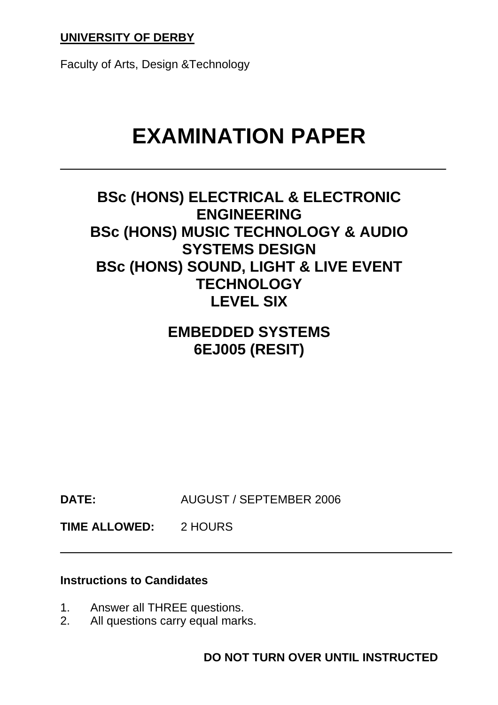# **UNIVERSITY OF DERBY**

Faculty of Arts, Design &Technology

# **EXAMINATION PAPER**

# **BSc (HONS) ELECTRICAL & ELECTRONIC ENGINEERING BSc (HONS) MUSIC TECHNOLOGY & AUDIO SYSTEMS DESIGN BSc (HONS) SOUND, LIGHT & LIVE EVENT TECHNOLOGY LEVEL SIX**

# **EMBEDDED SYSTEMS 6EJ005 (RESIT)**

**DATE:** AUGUST / SEPTEMBER 2006

**TIME ALLOWED:** 2 HOURS

#### **Instructions to Candidates**

- 1. Answer all THREE questions.
- 2. All questions carry equal marks.

**DO NOT TURN OVER UNTIL INSTRUCTED**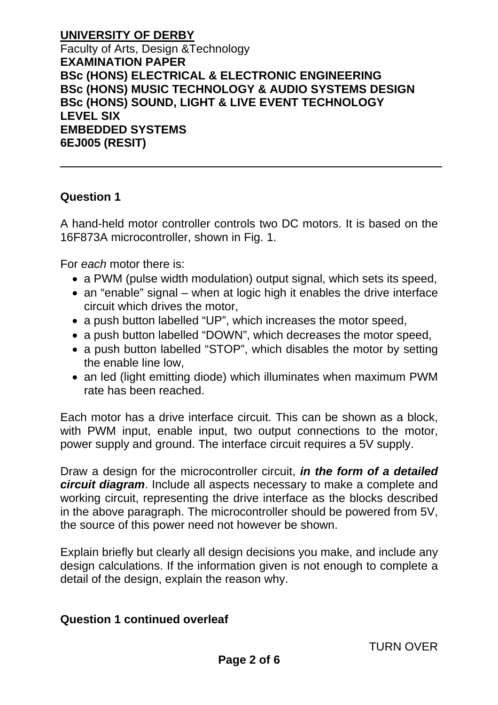#### **Question 1**

A hand-held motor controller controls two DC motors. It is based on the 16F873A microcontroller, shown in Fig. 1.

For *each* motor there is:

- a PWM (pulse width modulation) output signal, which sets its speed,
- an "enable" signal when at logic high it enables the drive interface circuit which drives the motor,
- a push button labelled "UP", which increases the motor speed,
- a push button labelled "DOWN", which decreases the motor speed,
- a push button labelled "STOP", which disables the motor by setting the enable line low,
- an led (light emitting diode) which illuminates when maximum PWM rate has been reached.

Each motor has a drive interface circuit. This can be shown as a block, with PWM input, enable input, two output connections to the motor, power supply and ground. The interface circuit requires a 5V supply.

Draw a design for the microcontroller circuit, *in the form of a detailed circuit diagram*. Include all aspects necessary to make a complete and working circuit, representing the drive interface as the blocks described in the above paragraph. The microcontroller should be powered from 5V, the source of this power need not however be shown.

Explain briefly but clearly all design decisions you make, and include any design calculations. If the information given is not enough to complete a detail of the design, explain the reason why.

#### **Question 1 continued overleaf**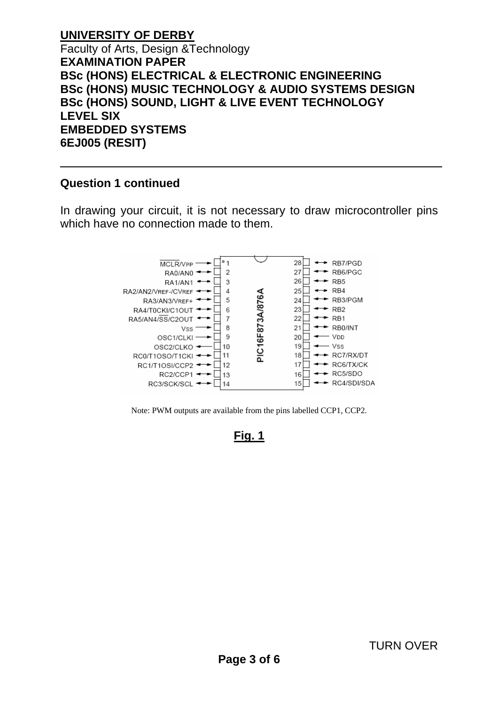# **Question 1 continued**

In drawing your circuit, it is not necessary to draw microcontroller pins which have no connection made to them.



Note: PWM outputs are available from the pins labelled CCP1, CCP2.

# **Fig. 1**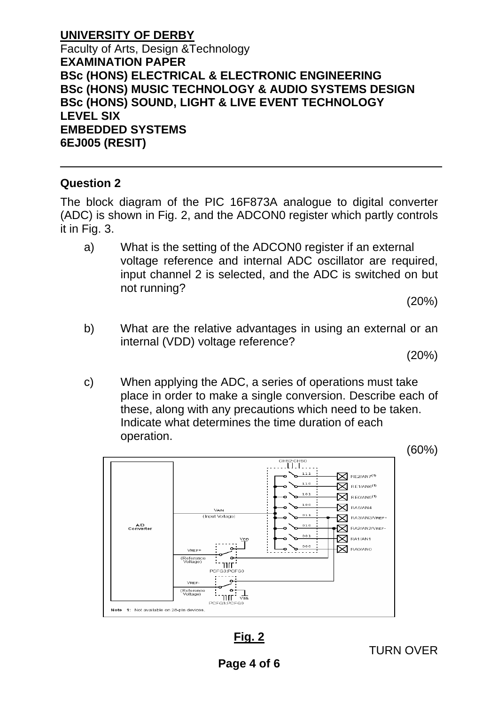#### **Question 2**

The block diagram of the PIC 16F873A analogue to digital converter (ADC) is shown in Fig. 2, and the ADCON0 register which partly controls it in Fig. 3.

a) What is the setting of the ADCON0 register if an external voltage reference and internal ADC oscillator are required, input channel 2 is selected, and the ADC is switched on but not running?

(20%)

b) What are the relative advantages in using an external or an internal (VDD) voltage reference?

(20%)

c) When applying the ADC, a series of operations must take place in order to make a single conversion. Describe each of these, along with any precautions which need to be taken. Indicate what determines the time duration of each operation.



**Fig. 2**

TURN OVER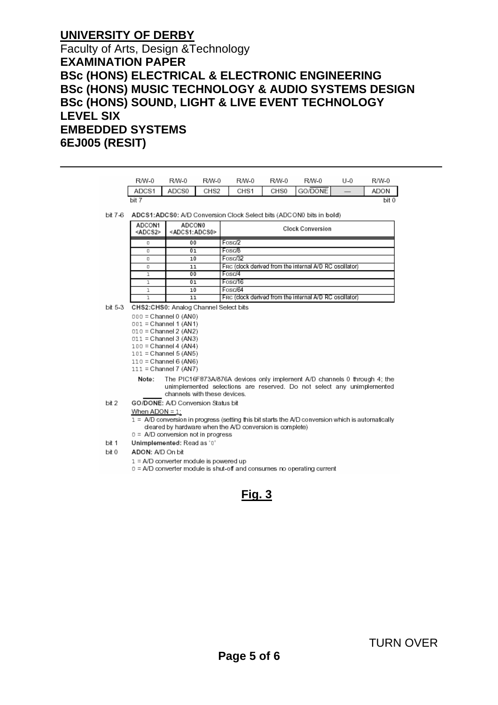# **UNIVERSITY OF DERBY**

#### Faculty of Arts, Design &Technology **EXAMINATION PAPER BSc (HONS) ELECTRICAL & ELECTRONIC ENGINEERING BSc (HONS) MUSIC TECHNOLOGY & AUDIO SYSTEMS DESIGN BSc (HONS) SOUND, LIGHT & LIVE EVENT TECHNOLOGY LEVEL SIX EMBEDDED SYSTEMS 6EJ005 (RESIT)**

|         | R/W-0                                                                                                                                                                                       | R/W-0                                        | <b>R/W-0</b>     | R/W-0                                                             | <b>R/W-0</b>      | R/W-0   | U-0                      | R/W-0 |  |  |  |  |
|---------|---------------------------------------------------------------------------------------------------------------------------------------------------------------------------------------------|----------------------------------------------|------------------|-------------------------------------------------------------------|-------------------|---------|--------------------------|-------|--|--|--|--|
|         | ADCS1                                                                                                                                                                                       | ADCS0                                        | CHS <sub>2</sub> | CHS1                                                              | CHS0              | GO/DONE | $\overline{\phantom{0}}$ | ADON  |  |  |  |  |
|         | bit 7                                                                                                                                                                                       |                                              |                  |                                                                   |                   |         |                          |       |  |  |  |  |
| bit 7-6 | ADCS1:ADCS0: A/D Conversion Clock Select bits (ADCON0 bits in bold)                                                                                                                         |                                              |                  |                                                                   |                   |         |                          |       |  |  |  |  |
|         | ADCON1<br><adcs2></adcs2>                                                                                                                                                                   | <b>ADCON0</b><br><adcs1:adcs0></adcs1:adcs0> |                  | <b>Clock Conversion</b>                                           |                   |         |                          |       |  |  |  |  |
|         | O                                                                                                                                                                                           | 00                                           |                  | Fosc/2                                                            |                   |         |                          |       |  |  |  |  |
|         | O                                                                                                                                                                                           | 01                                           |                  | Fosc/8                                                            |                   |         |                          |       |  |  |  |  |
|         | O                                                                                                                                                                                           | 10                                           |                  | Fosc/32                                                           |                   |         |                          |       |  |  |  |  |
|         | O                                                                                                                                                                                           | 11<br>00                                     |                  | FRC (clock derived from the internal A/D RC oscillator)<br>Fosc/4 |                   |         |                          |       |  |  |  |  |
|         | ı<br>ı                                                                                                                                                                                      | 01                                           |                  | Fosc/16                                                           |                   |         |                          |       |  |  |  |  |
|         | ı                                                                                                                                                                                           | 10                                           |                  | Fosc/64                                                           |                   |         |                          |       |  |  |  |  |
|         | $\mathbf{I}$                                                                                                                                                                                | 11                                           |                  | FRC (clock derived from the internal A/D RC oscillator)           |                   |         |                          |       |  |  |  |  |
| bit 5-3 | CHS2:CHS0: Analog Channel Select bits                                                                                                                                                       |                                              |                  |                                                                   |                   |         |                          |       |  |  |  |  |
|         | $000 =$ Channel 0 (AN0)                                                                                                                                                                     |                                              |                  |                                                                   |                   |         |                          |       |  |  |  |  |
|         | $001 =$ Channel 1 (AN1)                                                                                                                                                                     |                                              |                  |                                                                   |                   |         |                          |       |  |  |  |  |
|         | $010 =$ Channel 2 (AN2)                                                                                                                                                                     |                                              |                  |                                                                   |                   |         |                          |       |  |  |  |  |
|         | $011 =$ Channel 3 (AN3)<br>$100 =$ Channel 4 (AN4)                                                                                                                                          |                                              |                  |                                                                   |                   |         |                          |       |  |  |  |  |
|         | 101 = Channel 5 (AN5)                                                                                                                                                                       |                                              |                  |                                                                   |                   |         |                          |       |  |  |  |  |
|         | $110 =$ Channel 6 (AN6)                                                                                                                                                                     |                                              |                  |                                                                   |                   |         |                          |       |  |  |  |  |
|         | $111 =$ Channel 7 (AN7)                                                                                                                                                                     |                                              |                  |                                                                   |                   |         |                          |       |  |  |  |  |
|         | The PIC16F873A/876A devices only implement A/D channels 0 through 4; the<br>Note:<br>unimplemented selections are reserved. Do not select any unimplemented<br>channels with these devices. |                                              |                  |                                                                   |                   |         |                          |       |  |  |  |  |
| bit 2   | GO/DONE: A/D Conversion Status bit                                                                                                                                                          |                                              |                  |                                                                   |                   |         |                          |       |  |  |  |  |
|         |                                                                                                                                                                                             |                                              |                  |                                                                   | When $ADON = 1$ : |         |                          |       |  |  |  |  |

- $0 = AD$  conversion not in progress
- bit 1 Unimplemented: Read as '0'
- bit 0 ADON: A/D On bit
	- 1 = A/D converter module is powered up
	- 0 = A/D converter module is shut-off and consumes no operating current

# **Fig. 3**